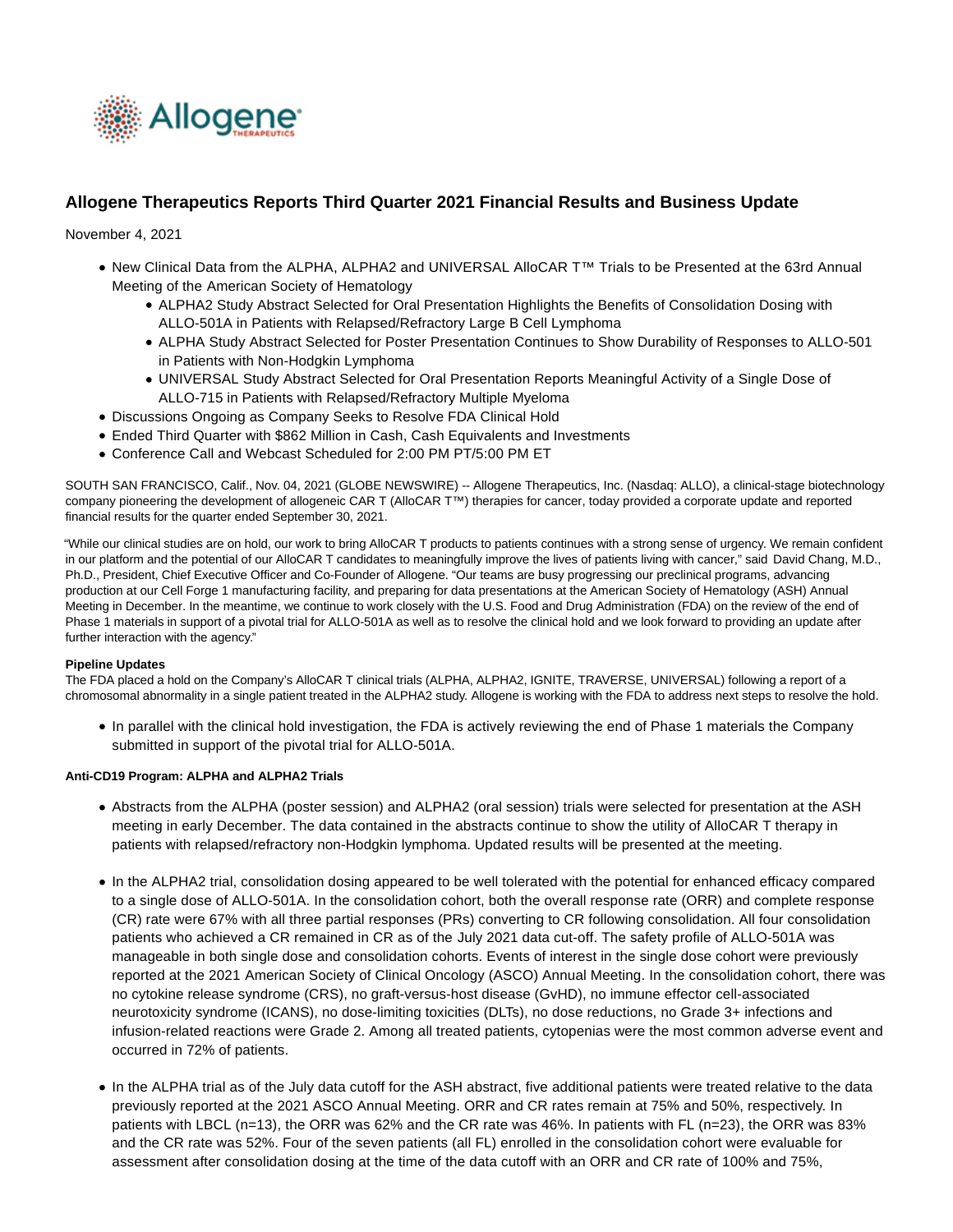

# **Allogene Therapeutics Reports Third Quarter 2021 Financial Results and Business Update**

November 4, 2021

- New Clinical Data from the ALPHA, ALPHA2 and UNIVERSAL AlloCAR T™ Trials to be Presented at the 63rd Annual Meeting of the American Society of Hematology
	- ALPHA2 Study Abstract Selected for Oral Presentation Highlights the Benefits of Consolidation Dosing with ALLO-501A in Patients with Relapsed/Refractory Large B Cell Lymphoma
	- ALPHA Study Abstract Selected for Poster Presentation Continues to Show Durability of Responses to ALLO-501 in Patients with Non-Hodgkin Lymphoma
	- UNIVERSAL Study Abstract Selected for Oral Presentation Reports Meaningful Activity of a Single Dose of ALLO-715 in Patients with Relapsed/Refractory Multiple Myeloma
- Discussions Ongoing as Company Seeks to Resolve FDA Clinical Hold
- Ended Third Quarter with \$862 Million in Cash, Cash Equivalents and Investments
- Conference Call and Webcast Scheduled for 2:00 PM PT/5:00 PM ET

SOUTH SAN FRANCISCO, Calif., Nov. 04, 2021 (GLOBE NEWSWIRE) -- Allogene Therapeutics, Inc. (Nasdaq: ALLO), a clinical-stage biotechnology company pioneering the development of allogeneic CAR T (AlloCAR T™) therapies for cancer, today provided a corporate update and reported financial results for the quarter ended September 30, 2021.

"While our clinical studies are on hold, our work to bring AlloCAR T products to patients continues with a strong sense of urgency. We remain confident in our platform and the potential of our AlloCAR T candidates to meaningfully improve the lives of patients living with cancer," said David Chang, M.D., Ph.D., President, Chief Executive Officer and Co-Founder of Allogene. "Our teams are busy progressing our preclinical programs, advancing production at our Cell Forge 1 manufacturing facility, and preparing for data presentations at the American Society of Hematology (ASH) Annual Meeting in December. In the meantime, we continue to work closely with the U.S. Food and Drug Administration (FDA) on the review of the end of Phase 1 materials in support of a pivotal trial for ALLO-501A as well as to resolve the clinical hold and we look forward to providing an update after further interaction with the agency."

#### **Pipeline Updates**

The FDA placed a hold on the Company's AlloCAR T clinical trials (ALPHA, ALPHA2, IGNITE, TRAVERSE, UNIVERSAL) following a report of a chromosomal abnormality in a single patient treated in the ALPHA2 study. Allogene is working with the FDA to address next steps to resolve the hold.

In parallel with the clinical hold investigation, the FDA is actively reviewing the end of Phase 1 materials the Company submitted in support of the pivotal trial for ALLO-501A.

#### **Anti-CD19 Program: ALPHA and ALPHA2 Trials**

- Abstracts from the ALPHA (poster session) and ALPHA2 (oral session) trials were selected for presentation at the ASH meeting in early December. The data contained in the abstracts continue to show the utility of AlloCAR T therapy in patients with relapsed/refractory non-Hodgkin lymphoma. Updated results will be presented at the meeting.
- In the ALPHA2 trial, consolidation dosing appeared to be well tolerated with the potential for enhanced efficacy compared to a single dose of ALLO-501A. In the consolidation cohort, both the overall response rate (ORR) and complete response (CR) rate were 67% with all three partial responses (PRs) converting to CR following consolidation. All four consolidation patients who achieved a CR remained in CR as of the July 2021 data cut-off. The safety profile of ALLO-501A was manageable in both single dose and consolidation cohorts. Events of interest in the single dose cohort were previously reported at the 2021 American Society of Clinical Oncology (ASCO) Annual Meeting. In the consolidation cohort, there was no cytokine release syndrome (CRS), no graft-versus-host disease (GvHD), no immune effector cell-associated neurotoxicity syndrome (ICANS), no dose-limiting toxicities (DLTs), no dose reductions, no Grade 3+ infections and infusion-related reactions were Grade 2. Among all treated patients, cytopenias were the most common adverse event and occurred in 72% of patients.
- In the ALPHA trial as of the July data cutoff for the ASH abstract, five additional patients were treated relative to the data previously reported at the 2021 ASCO Annual Meeting. ORR and CR rates remain at 75% and 50%, respectively. In patients with LBCL (n=13), the ORR was 62% and the CR rate was 46%. In patients with FL (n=23), the ORR was 83% and the CR rate was 52%. Four of the seven patients (all FL) enrolled in the consolidation cohort were evaluable for assessment after consolidation dosing at the time of the data cutoff with an ORR and CR rate of 100% and 75%,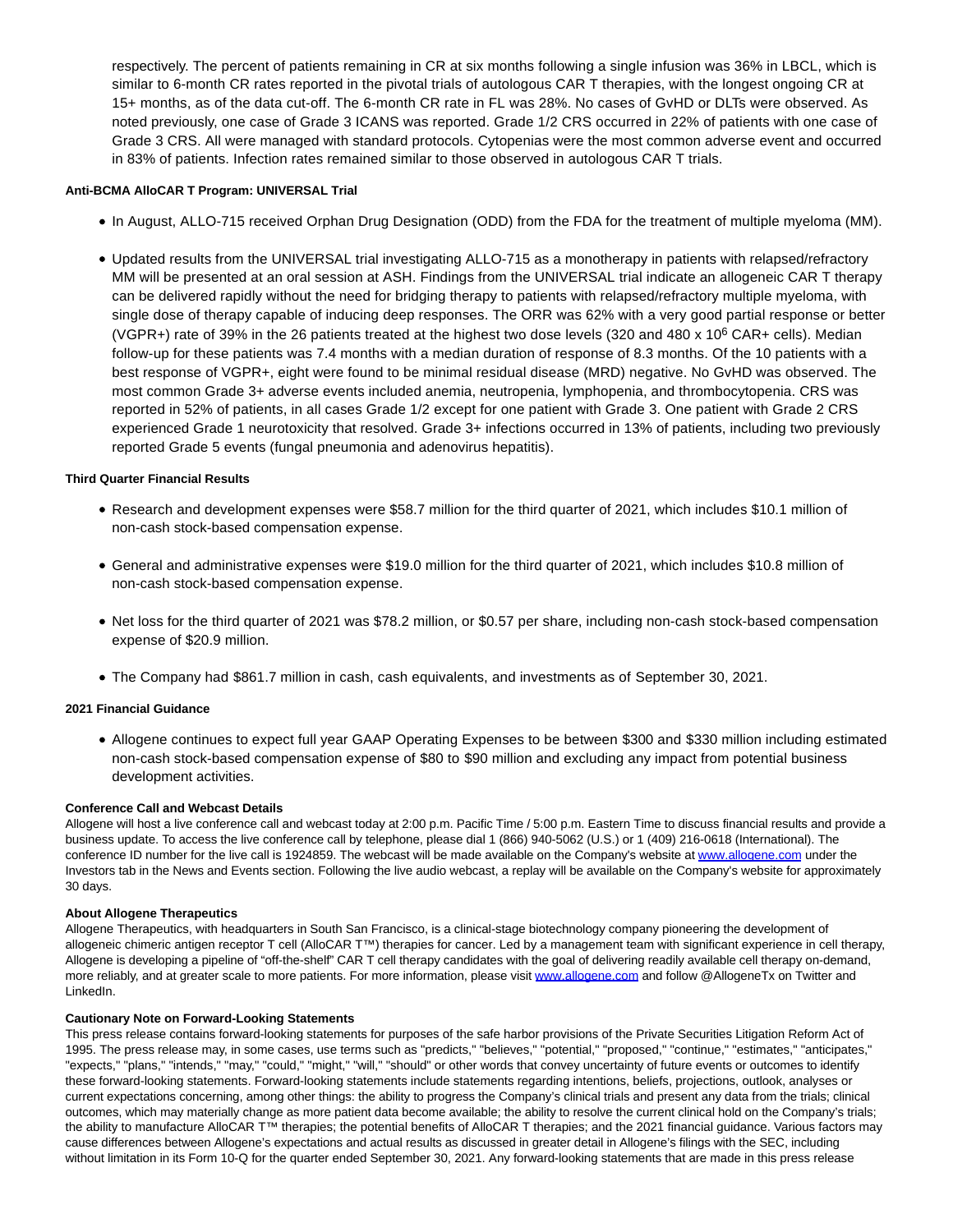respectively. The percent of patients remaining in CR at six months following a single infusion was 36% in LBCL, which is similar to 6-month CR rates reported in the pivotal trials of autologous CAR T therapies, with the longest ongoing CR at 15+ months, as of the data cut-off. The 6-month CR rate in FL was 28%. No cases of GvHD or DLTs were observed. As noted previously, one case of Grade 3 ICANS was reported. Grade 1/2 CRS occurred in 22% of patients with one case of Grade 3 CRS. All were managed with standard protocols. Cytopenias were the most common adverse event and occurred in 83% of patients. Infection rates remained similar to those observed in autologous CAR T trials.

# **Anti-BCMA AlloCAR T Program: UNIVERSAL Trial**

- In August, ALLO-715 received Orphan Drug Designation (ODD) from the FDA for the treatment of multiple myeloma (MM).
- Updated results from the UNIVERSAL trial investigating ALLO-715 as a monotherapy in patients with relapsed/refractory MM will be presented at an oral session at ASH. Findings from the UNIVERSAL trial indicate an allogeneic CAR T therapy can be delivered rapidly without the need for bridging therapy to patients with relapsed/refractory multiple myeloma, with single dose of therapy capable of inducing deep responses. The ORR was 62% with a very good partial response or better (VGPR+) rate of 39% in the 26 patients treated at the highest two dose levels (320 and 480 x 10<sup>6</sup> CAR+ cells). Median follow-up for these patients was 7.4 months with a median duration of response of 8.3 months. Of the 10 patients with a best response of VGPR+, eight were found to be minimal residual disease (MRD) negative. No GvHD was observed. The most common Grade 3+ adverse events included anemia, neutropenia, lymphopenia, and thrombocytopenia. CRS was reported in 52% of patients, in all cases Grade 1/2 except for one patient with Grade 3. One patient with Grade 2 CRS experienced Grade 1 neurotoxicity that resolved. Grade 3+ infections occurred in 13% of patients, including two previously reported Grade 5 events (fungal pneumonia and adenovirus hepatitis).

## **Third Quarter Financial Results**

- Research and development expenses were \$58.7 million for the third quarter of 2021, which includes \$10.1 million of non-cash stock-based compensation expense.
- General and administrative expenses were \$19.0 million for the third quarter of 2021, which includes \$10.8 million of non-cash stock-based compensation expense.
- Net loss for the third quarter of 2021 was \$78.2 million, or \$0.57 per share, including non-cash stock-based compensation expense of \$20.9 million.
- The Company had \$861.7 million in cash, cash equivalents, and investments as of September 30, 2021.

#### **2021 Financial Guidance**

Allogene continues to expect full year GAAP Operating Expenses to be between \$300 and \$330 million including estimated non-cash stock-based compensation expense of \$80 to \$90 million and excluding any impact from potential business development activities.

#### **Conference Call and Webcast Details**

Allogene will host a live conference call and webcast today at 2:00 p.m. Pacific Time / 5:00 p.m. Eastern Time to discuss financial results and provide a business update. To access the live conference call by telephone, please dial 1 (866) 940-5062 (U.S.) or 1 (409) 216-0618 (International). The conference ID number for the live call is 1924859. The webcast will be made available on the Company's website at [www.allogene.com u](https://www.globenewswire.com/Tracker?data=MO_RoLSEpocihfzDzgAeDBC48g1q7yHajoHgbZER1StM7CpH7RYPEBtYRFH1xSD6G6YG4mEbFXlB5ftkDRnq-A==)nder the Investors tab in the News and Events section. Following the live audio webcast, a replay will be available on the Company's website for approximately 30 days.

#### **About Allogene Therapeutics**

Allogene Therapeutics, with headquarters in South San Francisco, is a clinical-stage biotechnology company pioneering the development of allogeneic chimeric antigen receptor T cell (AlloCAR T™) therapies for cancer. Led by a management team with significant experience in cell therapy, Allogene is developing a pipeline of "off-the-shelf" CAR T cell therapy candidates with the goal of delivering readily available cell therapy on-demand, more reliably, and at greater scale to more patients. For more information, please visit [www.allogene.com a](https://www.globenewswire.com/Tracker?data=MO_RoLSEpocihfzDzgAeDLEa0f04dsAgYZhOH4sO2RWR4CrkTJytPnu2cWitAQI0Ta5VhCb2r0ezedV23YkgAA==)nd follow @AllogeneTx on Twitter and LinkedIn.

# **Cautionary Note on Forward-Looking Statements**

This press release contains forward-looking statements for purposes of the safe harbor provisions of the Private Securities Litigation Reform Act of 1995. The press release may, in some cases, use terms such as "predicts," "believes," "potential," "proposed," "continue," "estimates," "anticipates," "expects," "plans," "intends," "may," "could," "might," "will," "should" or other words that convey uncertainty of future events or outcomes to identify these forward-looking statements. Forward-looking statements include statements regarding intentions, beliefs, projections, outlook, analyses or current expectations concerning, among other things: the ability to progress the Company's clinical trials and present any data from the trials; clinical outcomes, which may materially change as more patient data become available; the ability to resolve the current clinical hold on the Company's trials; the ability to manufacture AlloCAR T™ therapies; the potential benefits of AlloCAR T therapies; and the 2021 financial guidance. Various factors may cause differences between Allogene's expectations and actual results as discussed in greater detail in Allogene's filings with the SEC, including without limitation in its Form 10-Q for the quarter ended September 30, 2021. Any forward-looking statements that are made in this press release